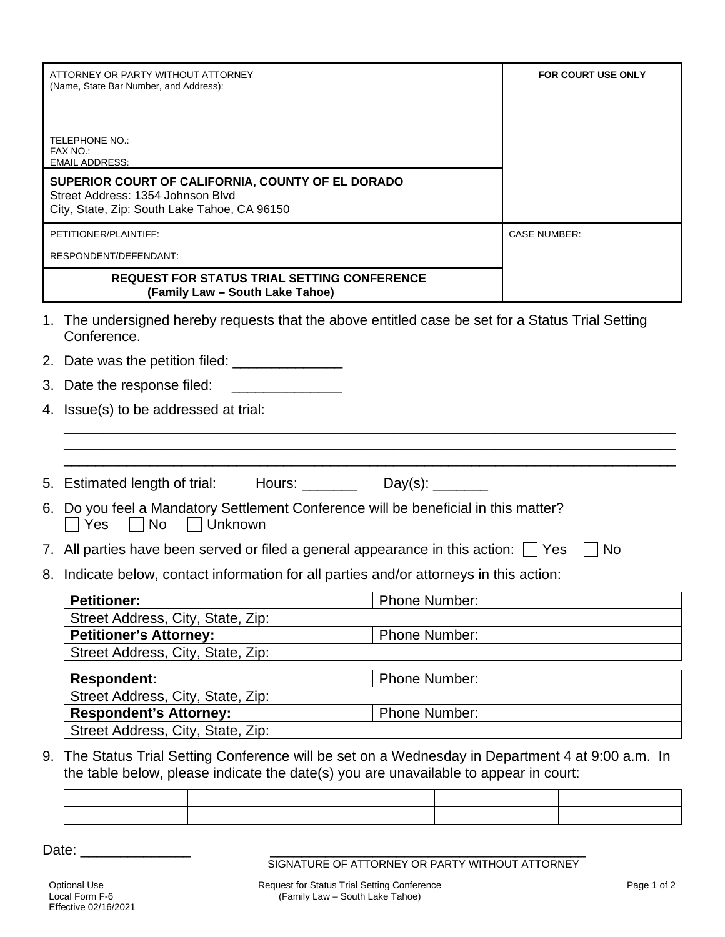| ATTORNEY OR PARTY WITHOUT ATTORNEY<br>(Name, State Bar Number, and Address):                                                                                                              |                                                                                                                    | <b>FOR COURT USE ONLY</b> |  |  |
|-------------------------------------------------------------------------------------------------------------------------------------------------------------------------------------------|--------------------------------------------------------------------------------------------------------------------|---------------------------|--|--|
|                                                                                                                                                                                           |                                                                                                                    |                           |  |  |
|                                                                                                                                                                                           |                                                                                                                    |                           |  |  |
|                                                                                                                                                                                           | <b>TELEPHONE NO.:</b>                                                                                              |                           |  |  |
|                                                                                                                                                                                           | FAX NO.:<br><b>EMAIL ADDRESS:</b>                                                                                  |                           |  |  |
|                                                                                                                                                                                           | SUPERIOR COURT OF CALIFORNIA, COUNTY OF EL DORADO                                                                  |                           |  |  |
|                                                                                                                                                                                           | Street Address: 1354 Johnson Blvd<br>City, State, Zip: South Lake Tahoe, CA 96150                                  |                           |  |  |
| PETITIONER/PLAINTIFF:                                                                                                                                                                     |                                                                                                                    | <b>CASE NUMBER:</b>       |  |  |
| RESPONDENT/DEFENDANT:                                                                                                                                                                     |                                                                                                                    |                           |  |  |
| <b>REQUEST FOR STATUS TRIAL SETTING CONFERENCE</b>                                                                                                                                        |                                                                                                                    |                           |  |  |
| (Family Law - South Lake Tahoe)                                                                                                                                                           |                                                                                                                    |                           |  |  |
|                                                                                                                                                                                           | The undersigned hereby requests that the above entitled case be set for a Status Trial Setting<br>Conference.      |                           |  |  |
|                                                                                                                                                                                           |                                                                                                                    |                           |  |  |
|                                                                                                                                                                                           | 3. Date the response filed:                                                                                        |                           |  |  |
|                                                                                                                                                                                           | 4. Issue(s) to be addressed at trial:                                                                              |                           |  |  |
|                                                                                                                                                                                           |                                                                                                                    |                           |  |  |
|                                                                                                                                                                                           |                                                                                                                    |                           |  |  |
|                                                                                                                                                                                           | 5. Estimated length of trial: Hours: _________ Day(s): ______                                                      |                           |  |  |
|                                                                                                                                                                                           | 6. Do you feel a Mandatory Settlement Conference will be beneficial in this matter?<br>Yes<br><b>No</b><br>Unknown |                           |  |  |
|                                                                                                                                                                                           | 7. All parties have been served or filed a general appearance in this action: $\Box$ Yes<br>No                     |                           |  |  |
|                                                                                                                                                                                           | 8. Indicate below, contact information for all parties and/or attorneys in this action:                            |                           |  |  |
|                                                                                                                                                                                           | <b>Petitioner:</b><br>Phone Number:                                                                                |                           |  |  |
|                                                                                                                                                                                           | Street Address, City, State, Zip:                                                                                  |                           |  |  |
|                                                                                                                                                                                           | <b>Petitioner's Attorney:</b>                                                                                      | Phone Number:             |  |  |
|                                                                                                                                                                                           | Street Address, City, State, Zip:                                                                                  |                           |  |  |
|                                                                                                                                                                                           | Phone Number:<br><b>Respondent:</b>                                                                                |                           |  |  |
|                                                                                                                                                                                           | Street Address, City, State, Zip:                                                                                  |                           |  |  |
|                                                                                                                                                                                           | <b>Respondent's Attorney:</b><br>Street Address, City, State, Zip:                                                 | Phone Number:             |  |  |
|                                                                                                                                                                                           |                                                                                                                    |                           |  |  |
| 9. The Status Trial Setting Conference will be set on a Wednesday in Department 4 at 9:00 a.m. In<br>the table below, please indicate the date(s) you are unavailable to appear in court: |                                                                                                                    |                           |  |  |
|                                                                                                                                                                                           |                                                                                                                    |                           |  |  |

Date: \_\_\_\_\_\_\_\_\_\_\_\_\_\_ \_\_\_\_\_\_\_\_\_\_\_\_\_\_\_\_\_\_\_\_\_\_\_\_\_\_\_\_\_\_\_\_\_\_\_\_\_\_\_\_

SIGNATURE OF ATTORNEY OR PARTY WITHOUT ATTORNEY